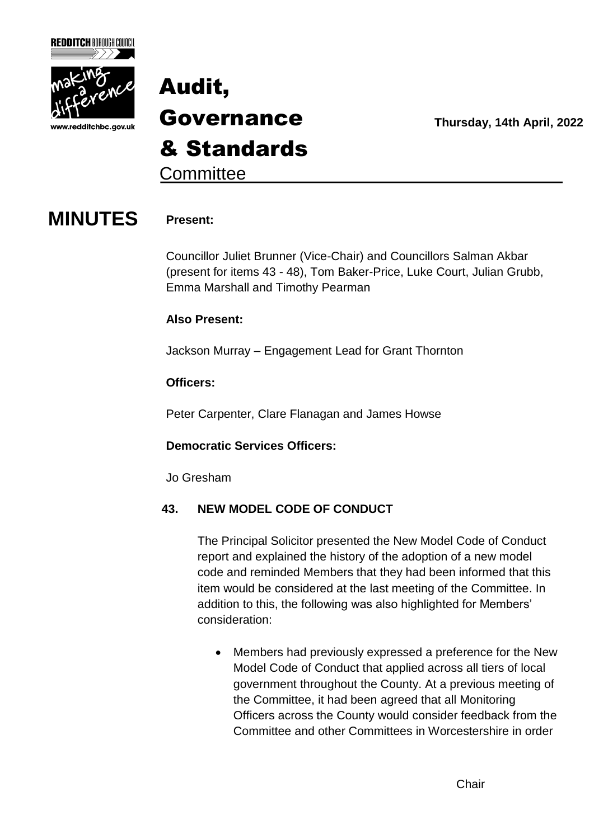



**Thursday, 14th April, 2022**

**Committee** 

### **MINUTES Present:**

Councillor Juliet Brunner (Vice-Chair) and Councillors Salman Akbar (present for items 43 - 48), Tom Baker-Price, Luke Court, Julian Grubb, Emma Marshall and Timothy Pearman

#### **Also Present:**

Jackson Murray – Engagement Lead for Grant Thornton

#### **Officers:**

Peter Carpenter, Clare Flanagan and James Howse

#### **Democratic Services Officers:**

Jo Gresham

#### **43. NEW MODEL CODE OF CONDUCT**

The Principal Solicitor presented the New Model Code of Conduct report and explained the history of the adoption of a new model code and reminded Members that they had been informed that this item would be considered at the last meeting of the Committee. In addition to this, the following was also highlighted for Members' consideration:

 Members had previously expressed a preference for the New Model Code of Conduct that applied across all tiers of local government throughout the County. At a previous meeting of the Committee, it had been agreed that all Monitoring Officers across the County would consider feedback from the Committee and other Committees in Worcestershire in order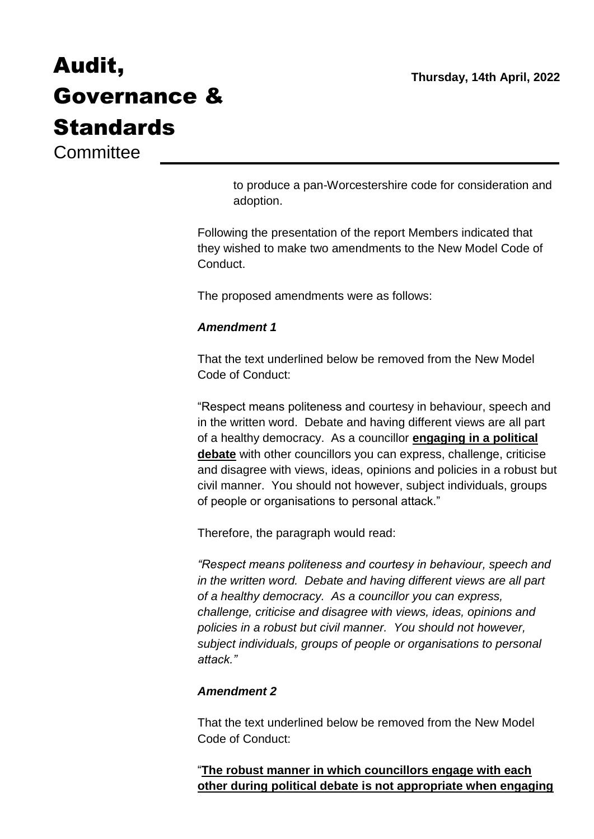**Committee** 

to produce a pan-Worcestershire code for consideration and adoption.

Following the presentation of the report Members indicated that they wished to make two amendments to the New Model Code of Conduct.

The proposed amendments were as follows:

#### *Amendment 1*

That the text underlined below be removed from the New Model Code of Conduct:

"Respect means politeness and courtesy in behaviour, speech and in the written word. Debate and having different views are all part of a healthy democracy. As a councillor **engaging in a political debate** with other councillors you can express, challenge, criticise and disagree with views, ideas, opinions and policies in a robust but civil manner. You should not however, subject individuals, groups of people or organisations to personal attack."

Therefore, the paragraph would read:

*"Respect means politeness and courtesy in behaviour, speech and in the written word. Debate and having different views are all part of a healthy democracy. As a councillor you can express, challenge, criticise and disagree with views, ideas, opinions and policies in a robust but civil manner. You should not however, subject individuals, groups of people or organisations to personal attack."*

#### *Amendment 2*

That the text underlined below be removed from the New Model Code of Conduct:

"**The robust manner in which councillors engage with each other during political debate is not appropriate when engaging**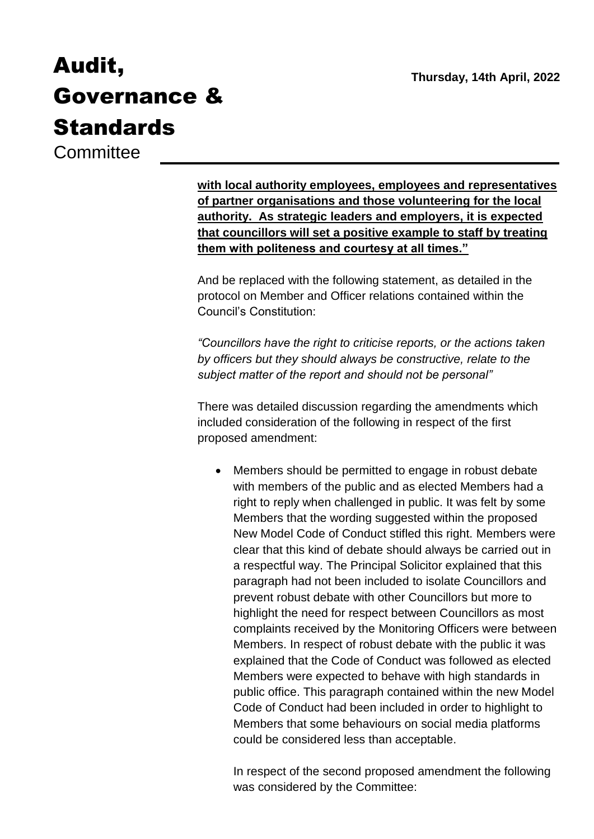**Committee** 

**with local authority employees, employees and representatives of partner organisations and those volunteering for the local authority. As strategic leaders and employers, it is expected that councillors will set a positive example to staff by treating them with politeness and courtesy at all times."**

And be replaced with the following statement, as detailed in the protocol on Member and Officer relations contained within the Council's Constitution:

*"Councillors have the right to criticise reports, or the actions taken by officers but they should always be constructive, relate to the subject matter of the report and should not be personal"* 

There was detailed discussion regarding the amendments which included consideration of the following in respect of the first proposed amendment:

 Members should be permitted to engage in robust debate with members of the public and as elected Members had a right to reply when challenged in public. It was felt by some Members that the wording suggested within the proposed New Model Code of Conduct stifled this right. Members were clear that this kind of debate should always be carried out in a respectful way. The Principal Solicitor explained that this paragraph had not been included to isolate Councillors and prevent robust debate with other Councillors but more to highlight the need for respect between Councillors as most complaints received by the Monitoring Officers were between Members. In respect of robust debate with the public it was explained that the Code of Conduct was followed as elected Members were expected to behave with high standards in public office. This paragraph contained within the new Model Code of Conduct had been included in order to highlight to Members that some behaviours on social media platforms could be considered less than acceptable.

In respect of the second proposed amendment the following was considered by the Committee: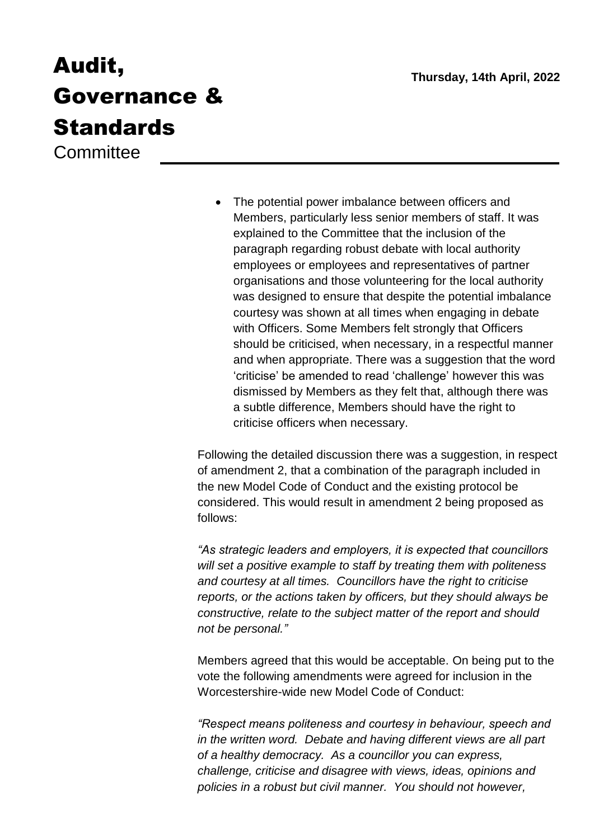**Committee** 

• The potential power imbalance between officers and Members, particularly less senior members of staff. It was explained to the Committee that the inclusion of the paragraph regarding robust debate with local authority employees or employees and representatives of partner organisations and those volunteering for the local authority was designed to ensure that despite the potential imbalance courtesy was shown at all times when engaging in debate with Officers. Some Members felt strongly that Officers should be criticised, when necessary, in a respectful manner and when appropriate. There was a suggestion that the word 'criticise' be amended to read 'challenge' however this was dismissed by Members as they felt that, although there was a subtle difference, Members should have the right to criticise officers when necessary.

Following the detailed discussion there was a suggestion, in respect of amendment 2, that a combination of the paragraph included in the new Model Code of Conduct and the existing protocol be considered. This would result in amendment 2 being proposed as follows:

*"As strategic leaders and employers, it is expected that councillors will set a positive example to staff by treating them with politeness and courtesy at all times. Councillors have the right to criticise reports, or the actions taken by officers, but they should always be constructive, relate to the subject matter of the report and should not be personal."*

Members agreed that this would be acceptable. On being put to the vote the following amendments were agreed for inclusion in the Worcestershire-wide new Model Code of Conduct:

*"Respect means politeness and courtesy in behaviour, speech and in the written word. Debate and having different views are all part of a healthy democracy. As a councillor you can express, challenge, criticise and disagree with views, ideas, opinions and policies in a robust but civil manner. You should not however,*